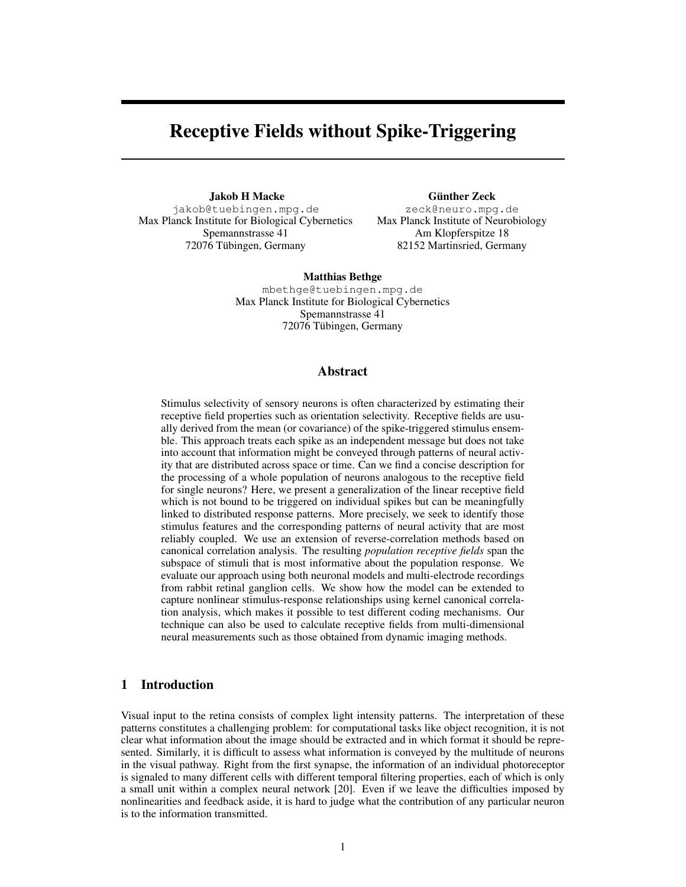# Receptive Fields without Spike-Triggering

Jakob H Macke<br>jakob@tuebingen.mpg.de janobe cuebingen . mpg . de Max Planck Institute for Biological Cybernetics Spemannstrasse 41<br>76 Tübingen, Cern 72076 Tubingen, Germany ¨

Günther Zeck<br>zeck@neuro.mpg.de zeckeneuro . mpg . de<br>Nepek Institute of Neurob  $\frac{\text{Max I}}{\text{max}}$  Planck Institute of Neurobiology Am Kropicispitze 10<br>52 Mortinoriod *Cor*n 821 52 Martins ried, Germany

**Matthias Bethge**<br>mbethge@tuebingen.mpg.de mbe t hge e t ue bi ngen . mpg . de<br>Nenek Institute for Pielogieel Cyber Max I fanck Institute for Biological Cybernetics Spemannstrasse 41<br>76 Tübingen, Cern 72070 Tubingen, Germany

# Abstract

Stimulus selectivity of sensory neurons is often characterized by estimating their receptive field properties such as orientation selectivity. Receptive fields are usually derived from the mean (or covariance) of the spike-triggered stimulus ensemble. This approach treats each spike as an independent message but does not take into account that information might be conveyed through patterns of neural activinto account that information might be conveyed through patterns of neural activity that are distributed across space or time. Can we find a concise description for the processing of a whole population of neurons analogous to the receptive field for single neurons? Here, we present a generalization of the linear receptive field which is not bound to be triggered on individual spikes but can be meaningfully linked to distributed response patterns. More precisely, we seek to identify those stimulus features and the corresponding patterns of neural activity that are most reliably coupled. We use an extension of reverse-correlation methods based on canonical correlation analysis. The resulting *population receptive fields* span the subspace of stimuli that is most informative about the population response. We evaluate our approach using both neuronal models and multi-electrode recordings. from rabbit retinal ganglion cells. We show how the model can be extended to capture nonlinear stimulus-response relationships using kernel canonical correlation analysis, which makes it possible to test different coding mechanisms. Our tion analysis , which makes it possible to test different coding mechanisms . Our technique can also be used to calculate receptive fields from multi-dimensional neural measurements such as those obtained from dynamic imaging methods .

# 1 Introduction

Visual input to the retina consists of complex light intensity patterns. The interpretation of these patterns constitutes a challenging problem: for computational tasks like object recognition, it is not clear what information about the image should be extracted and in which format it should be represented. Similarly, it is difficult to assess what information is conveyed by the multitude of neurons in the visual pathway. Right from the first synapse, the information of an individual photoreceptor is signaled to many different cells with different temporal filtering properties, each of which is only a small unit within a complex neural network [20]. Even if we leave the difficulties imposed by a small unit within a complex neural network  $[2\sigma]$ . Even if we leave the different imposed by  $\sigma$  and  $\sigma$  and  $\sigma$  and  $\sigma$  and  $\sigma$  and  $\sigma$  and  $\sigma$  and  $\sigma$  and  $\sigma$  and  $\sigma$  and  $\sigma$  and  $\sigma$  and  $\sigma$  and  $\sigma$  and nonlinearities and feedback aside, it is hard to judge what the contribution of any particular neuron is to the information transmitted.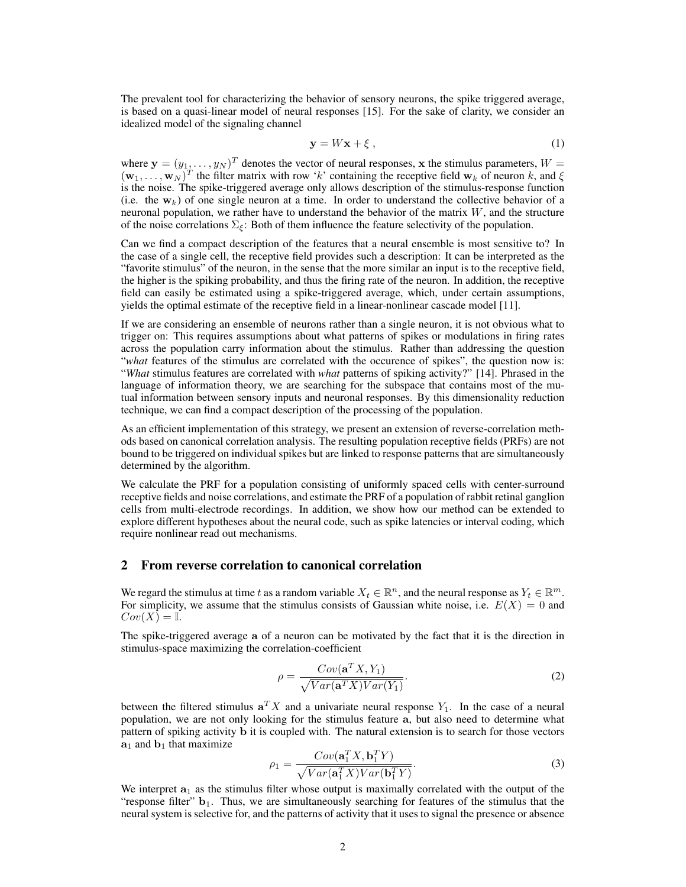The prevalent tool for characterizing the behavior of sensory neurons, the spike triggered average,  $\frac{1}{2}$ is based on a quasi-linear model of neural responses  $[15]$ . For the sake of clarity, we consider an idealized model of the signaling channel

$$
y = Wx + \xi, \qquad (1)
$$

where  $\mathbf{y} = (y_1, \dots, y_N)^T$  denotes the vector of neural responses, x the stimulus parameters,  $W = (y_1, \dots, y_N)^T$  the filter metrix with row  $\mathcal{P}_k$  containing the receptive field  $\mathbf{w}_k$  of neuron k and f  $(\mathbf{w}_1, \dots, \mathbf{w}_N)^T$  the filter matrix with row 'k' containing the receptive field  $\mathbf{w}_k$  of neuron k, and  $\xi$ <br>is the neige. The spike triggered everges only allows description of the stimulus response function is the noise. The spike-triggered average only allows description of the stimulus-response function (i.e. the  $w_k$ ) of one single neuron at a time. In order to understand the collective behavior of a neuronal population, we rather have to understand the behavior of the matrix  $W$ , and the structure neuronal population, we rather have to understand the behavior of the matrix  $W$ , and the matrix  $\alpha$  the matrix  $\alpha$  the matrix  $\alpha$  the matrix  $\alpha$ of the noise correlations Σ<sup>ξ</sup> : Both of them influence the feature selectivity of the population.

Can we find a compact description of the features that a neural ensemble is most sensitive to? In the case of a single cell, the receptive field provides such a description: It can be interpreted as the "favorite stimulus" of the neuron, in the sense that the more similar an input is to the receptive field, the higher is the spiking probability, and thus the firing rate of the neuron. In addition, the receptive field can easily be estimated using a spike-triggered average, which, under certain assumptions, field can easily be estimated using a spike-triggered average, which, under certain assumptions, under the certain assumptions  $\eta$ yields the optimal estimate of the receptive field in a linear-nonlinear cascade model [1 1 ] .

If we are considering an ensemble of neurons rather than a single neuron, it is not obvious what to trigger on: This requires assumptions about what patterns of spikes or modulations in firing rates across the population carry information about the stimulus. Rather than addressing the question "what features of the stimulus are correlated with the occurence of spikes", the question now is: "What stimulus features are correlated with what patterns of spiking activity?" [14]. Phrased in the language of information theory, we are searching for the subspace that contains most of the mulanguage of information theory, we are searching for the subspace that contains most of the mutual information between sensory inputs and neuronal responses. By this dimensionality reduction technique, we can find a compact description of the processing of the population.

As an efficient implementation of this strategy, we present an extension of reverse-correlation meth-<br>ods based on canonical correlation analysis. The resulting population receptive fields (PRFs) are not ous based on canonical correlation analysis. The resulting population receptive fields (PRFs) are not not not bound to be triggered on individual spikes but are linked to response patterns that are simultaneously determined by the algorithm.

We calculate the PRF for a population consisting of uniformly spaced cells with center-surround receptive fields and noise correlations, and estimate the PRF of a population of rabbit retinal ganglion cells from multi-electrode recordings. In addition, we show how our method can be extended to cells from multi-electrode recordings. In addition, we show how our method can be extended to  $\sinh \alpha$  which explore different hypotheses about the neural code, such as spike latencies or interval coding, which require nonlinear read out mechanisms .

### 2 From reverse correlation to canonical correlation

We regard the stimulus at time t as a random variable  $X_t \in \mathbb{R}^n$ , and the neural response as  $Y_t \in \mathbb{R}^m$ .<br>For simplicity we assume that the stimulus consists of Gaussian white noise i.e.  $E(X) = 0$  and For simplicity, we assume that the stimulus consists of Gaussian white noise, i.e.  $E(X) = 0$  and  $E(X) = \mathbb{F}$  $Cov(X) = \mathbb{I}.$ 

The spike-triggered average a of a neuron can be motivated by the fact that it is the direction in stimulus-space maximizing the correlation-coefficient

$$
\rho = \frac{Cov(\mathbf{a}^T X, Y_1)}{\sqrt{Var(\mathbf{a}^T X)Var(Y_1)}}.
$$
\n(2)

between the filtered stimulus  $a^T X$  and a univariate neural response  $Y_1$ . In the case of a neural population, we are not only looking for the stimulus feature a, but also need to determine what population, we are not only looking for the stimulus feature a, but also need to determine what pattern of spiking activity b it is coupled with. The natural extension is to search for those vectors  $a_1$  and  $b_1$  that maximize

$$
\rho_1 = \frac{Cov(\mathbf{a}_1^T X, \mathbf{b}_1^T Y)}{\sqrt{Var(\mathbf{a}_1^T X)Var(\mathbf{b}_1^T Y)}}.
$$
(3)

"response filter"  $\mathbf{b}_1$ . Thus, we are simultaneously searching for features of the stimulus that the response finct  $\mathbf{b}_1$ . Thus, we are simultaneously searching for features of the stimulus that the stimulus that the stimulus that the stimulus that the stimulus that the stimulus that the stimulus that the stimulus th neural system is selective for, and the patterns of activity that it uses to signal the presence or absence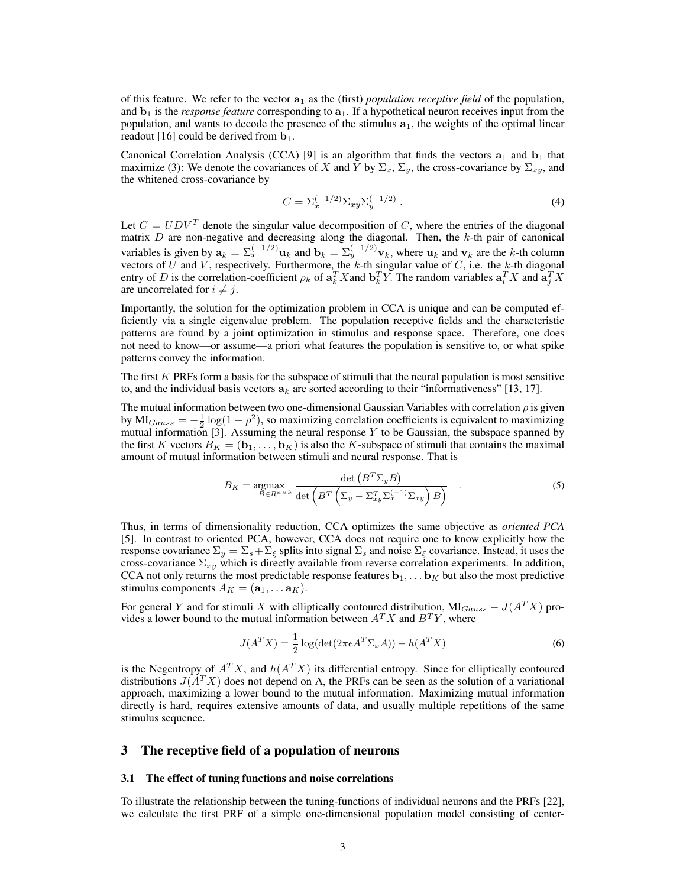of this feature. We refer to the vector  $a_1$  as the (first) *population receptive field* of the population, and  $b_1$  is the *response feature* corresponding to  $a_1$ . If a hypothetical neuron receives input from the and b1 is the response feature corresponding to  $a_1$ . If a hypothetical neuron receives input from the receives  $a_1$  is a theory of the ceives of the original linear population, and wants to decode the presence of the stimulus  $a_1$ , the weights of the optimal linear presence of the optimal linear readout [16] could be derived from  $b_1$ .

Canonical Correlation Analysis (CCA)  $[2]$  is an algorithm that finds the vectors and b1 that finds the vectors and b1 that finds the vectors and b1 that finds the vectors and b1 that  $\sum_{n=1}^{\infty}$  that the vectors and b maximize (3). We denote the covariances of X and Y by  $\Delta_x$ ,  $\Delta_y$ , the cross-covariance by  $\Delta_{xy}$ , and the whitened cross-covariance by

$$
C = \Sigma_x^{(-1/2)} \Sigma_{xy} \Sigma_y^{(-1/2)} . \tag{4}
$$

Let  $C = UDV^T$  denote the singular value decomposition of C, where the entries of the diagonal matrix D are non-negative and decreasing along the diagonal. Then, the k-th pair of canonical matrix D are non-negative and decreasing along the diagonal. Then, the  $k$ -th pair of canonical variables is given by  $\mathbf{a}_k = \sum_{k=1}^{n} \mathbf{a}_k \mathbf{a}_k = \sum_{j=1}^{n} \mathbf{v}_k$ , where  $\mathbf{u}_k$  and  $\mathbf{v}_k$  are the k-th column vectors of U and V, respectively. Furthermore, the k-th singular value of C, i.e. the k-th diag vectors of U and V, respectively. Furthermore, the  $\kappa$ -th singular value of  $\mathcal{L}$ , i.e. the k-th diagonal value of  $\mathcal{L}$  value of  $\mathcal{L}$  value of  $\mathcal{L}$  value of  $\mathcal{L}$  value of  $\mathcal{L}$  value of  $\mathcal{L}$  va entry of D is the correlation-coefficient  $\rho_k$  of  $\mathbf{a}_k^T X$  and  $\mathbf{b}_k^T Y$ . The random variables  $\mathbf{a}_i^T X$  and  $\mathbf{a}_j^T X$ are uncorrelated for  $i \neq j$ .

Importantly, the solution for the optimization problem in CCA is unique and can be computed efficiently via a single eigenvalue problem. The population receptive fields and the characteristic patterns are found by a joint optimization in stimulus and response space. Therefore, one does patterns are found by a joint optimization in stimulus and response space. Therefore, one does not applicate not need to know—or assume—a priori what features the population is sensitive to, or what spike patterns convey the information.

The first K PRFs form a basis form a  $\alpha$  and  $\alpha$  and  $\alpha$  that the neural population is most sensitive sensitive  $\alpha$  and the individual basis vectors  $\alpha$  are an anomalous to the individual  $\alpha$ to, and the individual basis vectors  $a_k$  are sorted according to their "informativeness"  $[13, 17]$ .

The mutual information between two one-dimensional Gaussian Variables with correlation  $\rho$  is given by  $M1_{Gauss} = -\frac{1}{2} \log(1 - \rho^2)$ , so maximizing correlation coefficients is equivalent to maximizing mutual information [3]. Assuming the neural response V to be Gaussian, the subspace spanned by mutual information [3]. Assuming the neural response Y to be Gaussian, the subspace spanned by the first K vectors  $B_K = (\mathbf{b}_1, ..., \mathbf{b}_K)$  is also the K-subspace of stimuli that contains the maximal the first K vectors  $B_K = (b_1, \ldots, b_K)$  is also the K-subspace of stimuli that contains the maximal and maximal that contains the maximal amount of mutual information between stimuli and neural response. That is

$$
B_K = \underset{B \in R^{n \times k}}{\operatorname{argmax}} \frac{\det (B^T \Sigma_y B)}{\det (B^T \left(\Sigma_y - \Sigma_{xy}^T \Sigma_x^{(-1)} \Sigma_{xy}\right) B)} \quad . \tag{5}
$$

 $- \Sigma_x^2$ <br>optim<br>oes no<br> $\Sigma_s$  and Thus, in terms of dimensionality reduction, CCA does not point as on to leave as oriented PCA optimizes to  $\sinh$ response covariance  $\Sigma_y = \Sigma_s + \Sigma_{\xi}$  splits into signal  $\Sigma_s$  and noise  $\Sigma_{\xi}$  covariance. Instead, it uses the cross-covariance  $\Sigma_{x,y}$  which is directly available from reverse correlation experiments. In addition,  $\epsilon_{\text{C}}$  covariance  $\omega_{xy}$  which is directly available generate correlation experiments. In addition,  $\epsilon_{xy}$  $\text{CCT}$  not only returns the most predictable response features  $b_1, \ldots, b_K$  but also the most predictive stimulus components  $A_K = (\mathbf{a}_1, \dots \mathbf{a}_K)$ .

For general Y and for stimuli X with elliptically contoured distribution,  $MI_{Gauss} - J(A^T X)$  provides a lower bound to the mutual information between  $A^T X$  and  $B^T Y$ , where

$$
J(ATX) = \frac{1}{2}\log(\det(2\pi eAT\Sigma_x A)) - h(ATX)
$$
\n(6)

 $-h(A^T X)$  (6)<br>
opy. Since for elliptically contoured<br>
e seen as the solution of a variational<br>
ion. Maximizing mutual information<br>
ally multiple repetitions of the same is the Negentropy of  $A^T X$ , and  $h(A^T X)$  its differential entropy. Since for elliptically contoured<br>distributions  $I(A^T Y)$  does not depend on A, the PPEs sen ha seen as the solution of a variational distributions  $J(A^T X)$  does not depend on A, the PRFs can be seen as the solution of a variational approach, maximizing a lower bound to the mutual information. Maximizing mutual information directly is hard, requires extensive amounts of data, and usually multiple repetitions of the same stimulus sequence.

# 3 The receptive field of a population of neurons

#### 3.1 The effect of tuning functions and noise correlations

To initiate the relationship between the tuning-functions of individual neurons and the PRFs  $\epsilon$  22],  $\epsilon$  and  $\epsilon$  is  $\epsilon$  and the PRFs  $\epsilon$  and the property of  $\epsilon$  and the PRFs  $\epsilon$  and  $\epsilon$  and  $\epsilon$  and  $\epsilon$  and  $\epsilon$ we calculate the first PRF of a simple one-dimensional population model consisting of center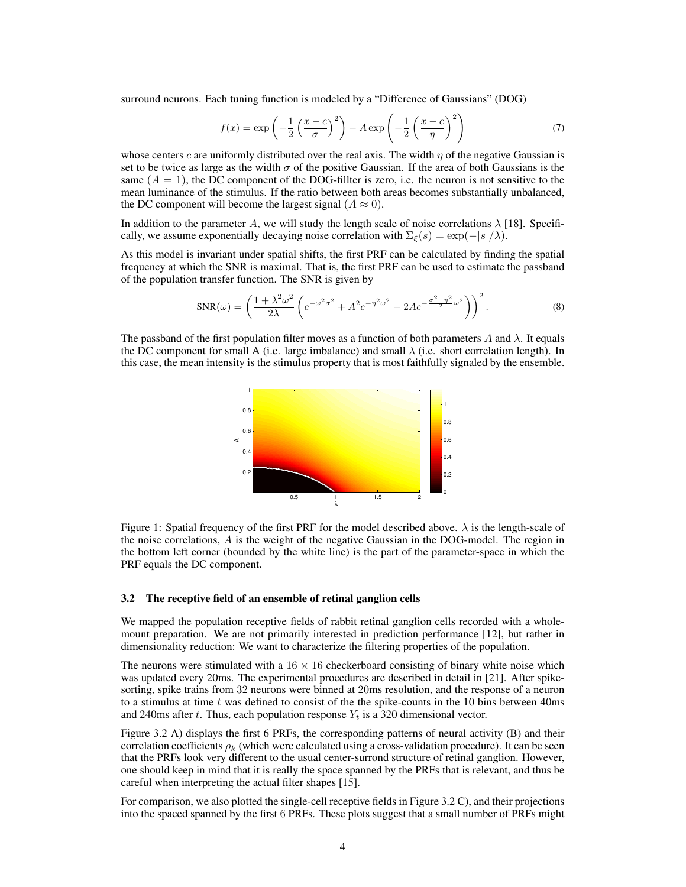surround neurons. Each tuning function is modeled by a "Difference of Gaussians" (DOG) !

$$
f(x) = \exp\left(-\frac{1}{2}\left(\frac{x-c}{\sigma}\right)^2\right) - A\exp\left(-\frac{1}{2}\left(\frac{x-c}{\eta}\right)^2\right) \tag{7}
$$

 $-\frac{1}{2}$ <br>ibu<br>i  $\sigma$ <br>of  $\left(-\frac{c}{\sigma}\right)^2$  – A exp  $\left(-\frac{1}{2}\left(\frac{x-c}{\eta}\right)\right)$ <br>wer the real axis. The width  $\eta$ <br>ne positive Gaussian. If the area DOG-fillter is zero, i.e. the no  $-\frac{1}{2}$ <br>The un.<br>, i. set to be twice as large as the width  $\sigma$  of the positive Gaussian. If the area of both Gaussians is the same  $(A = 1)$ , the DC component of the DOG-fillter is zero, i.e. the neuron is not sensitive to the same ( $A = 1$ ), the DC component of the DOG-fillmet is zero, i.e. the neuron is not sensitive to the neuron is not sensitive to the neuron is not sensitive to the neuron is not sensitive to the neuron is not sensitive to t mean luminance of the stimulus. If the ratio between both areas becomes substantially unbalanced, the DC component will become the largest signal  $(A \approx 0)$ .

In addition to the parameter  $A$ , we will study the length scale of noise correlations  $A$  [10]. Specifically, we assume exponentially decaying holse correlation with  $\mathbb{Z}_{\xi}(s) = \exp(-|s|/\lambda)$ .

As this model is invariant under spatial shifts, the first  $\Gamma$  KP can be vecaled to originate the procedurated by finding the spatial  $\Gamma$  $\frac{f_{\text{ref}}}{f_{\text{ref}}}$  at which the SNR is maximal. That is , the first  $\frac{f_{\text{ref}}}{f_{\text{ref}}}$  is  $\frac{f_{\text{ref}}}{f_{\text{ref}}}$  is  $\frac{f_{\text{ref}}}{f_{\text{ref}}}$  is  $\frac{f_{\text{ref}}}{f_{\text{ref}}}$  is  $\frac{f_{\text{ref}}}{f_{\text{ref}}}$  is  $\frac{f_{\text{ref}}}{f_{\text{ref}}}$  is  $\frac{f_{\$ of the population transfer function. The SNR is given by

$$
SNR(\omega) = \left(\frac{1 + \lambda^2 \omega^2}{2\lambda} \left( e^{-\omega^2 \sigma^2} + A^2 e^{-\eta^2 \omega^2} - 2A e^{-\frac{\sigma^2 + \eta^2}{2}\omega^2} \right) \right)^2.
$$
 (8)

The passband of the first population filter moves as a function of both parameters A and  $\lambda$ . It equals the DC component for small A (i.e. large imbalance) and small  $\lambda$  (i.e. short correlation length). In the DC component for small A (i.e. large imbalance) and small  $\Lambda$  (i.e. short correlation length). In this case, the mean intensity is the stimulus property that is most faithfully signaled by the ensemble.



Figure 1: Spatial frequency of the first PRF for the model described above.  $\lambda$  is the length-scale of the noise correlations, A is the weight of the negative Gaussian in the DOG-model. The region in the noise correlations, A is the weight of the negative Gaussian in the DOG-model. The region in the region in the region in the region in the region in the region in the region in the region in the region in the region i the bottom left corner (bounded by the white line) is the part of the parameter-space in which the PRF equals the DC component.

#### 3.2 The receptive field of an ensemble of retinal ganglion cells

We mapped the population receptive fields of rabbit retinal ganglion cells recorded with  $\alpha$  whole $m$ ount preparation. We are not primarily interested in prediction performance  $[12]$ , but rather in properties  $\mathbf{E}$ dimensionality reduction: We want to characterize the filtering properties of the population.

The neurons were stimulated with a  $16 \times 16$  checkerboard consisting of binary white noise which was updated every 20ms. The experimental procedures are described in detail in [21]. After spikesorting, spike trains from 32 neurons were binned at 20ms resolution, and the response of a neuron sorting, spike trains from 32 neurons were binned at 20ms resolution, and the response of a neuron  $A<sub>0</sub>$  neurons  $A<sub>0</sub>$  neurons  $A<sub>0</sub>$  neurons  $A<sub>0</sub>$  neurons  $A<sub>0</sub>$  neurons  $A<sub>0</sub>$  neurons  $A<sub>0</sub>$ to a summar at time  $t$  was defined to consist of the the spike-counts in the 10 bins between 40ms and 240ms after t. Thus, each population response  $Y_t$  is a 320 dimensional vector.

Figure 3.2 A) displays the first 6 PRFs, the corresponding patterns of neural activity (B) and their correlation coefficients  $\rho_k$  (which were calculated using a cross-validation procedure). It can be seen that the PRFs look very different to the usual center-surrond structure of retinal ganglion. However, that the PRFs look very different to the usual center-surrond structure of retinal ganglion. However, the usual gas  $\frac{1}{2}$ one should keep in mind that it is really the space spanned by the PRFs that is relevant, and thus be apple to apple the space  $[15]$ careful when interpreting the actual filter shapes [15].

For comparison, we also plotted the single-cell receptive fields in Figure 3.2 C), and their projections into the spaced spanned by the first 6 PRFs . These plots suggest that a small number of PRFs might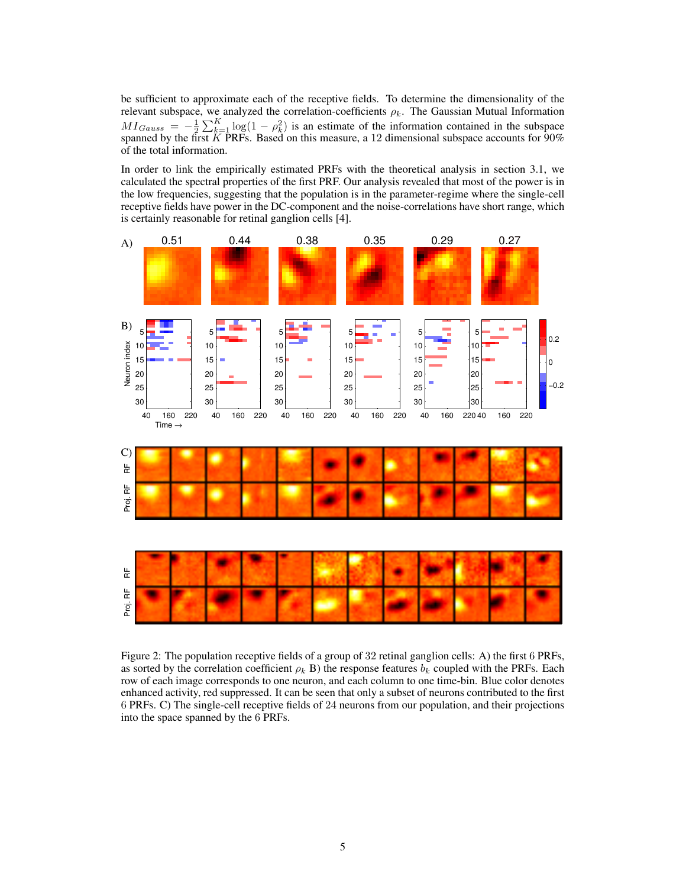be sufficient to approximate each of the receptive fields. To determine the dimensionality of the relevant subspace, we analyzed the correlation-coefficients  $\rho_k$ . The Gaussian Mutual Information relevant subspace, we analyzed the correlation-coefficients  $p_k$ . The Gaussian Mutual Information  $M1_{Gauss} = -\frac{1}{2}$ we analyzed the correlation-coefficients  $\rho_k$ . The Gaussian Mutual Information<br>  $\sum_{k=1}^{K} \log(1-\rho_k^2)$  is an estimate of the information contained in the subspace spanned by the first K PRFs. Based on this measure, a 12 dimensional subspace accounts for 90% of the total information.

In order to link the empirically estimated PRFs with the theoretical analysis in section 3.1, we calculated the spectral properties of the first PRF. Our analysis revealed that most of the power is in the low frequencies, suggesting that the population is in the parameter-regime where the single-cell the low frequencies, suggesting that the population is in the parameter- regime where the single-cell<br>measuring fields have agreed the DC comparant and the parameters against the single-which receptive fields have power in the DC-component and the noise-correlations have short range, which is certainly reasonable for retinal ganglion cells [4].



Figure 2: The population receptive fields of a group of 32 retinal ganglion cells: A) the first 6 PRFs, as sorted by the correlation coefficient  $\rho_k$  B) the response features  $b_k$  coupled with the PRFs. Each row of each image corresponds to one neuron, and each column to one time-bin. Blue color denotes enhanced activity, red suppressed. It can be seen that only a subset of neurons contributed to the first enhanced activity, red suppressed. It can be seen that only a subset of neurons contributed to the first only a subset of  $\Omega$ .  $6.6$  PrFs. C) The single-cell receptive fields of 24 neurons from our population, and their projections into the single-cell receptive fields of  $\overline{D}$ into the space spanned by the 6 PRFs.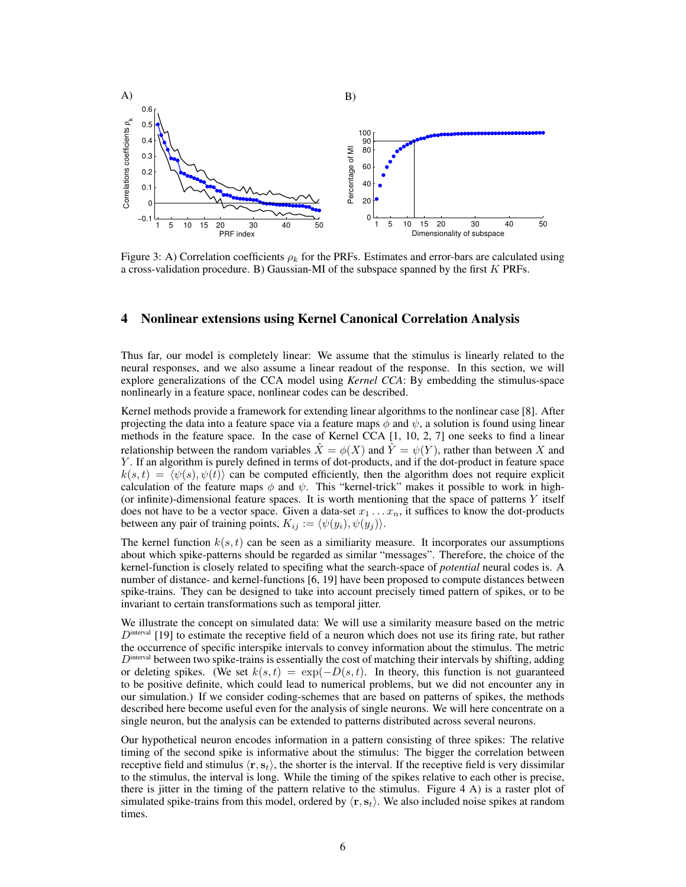

Figure 3. A) Correlation coefficients  $p_k$  for the Figure 3 same calculated using  $p_k$  for the Preficients and error-bars are calculated using  $p_k$  of the error-bars are calculated using  $p_k$  or  $p_k$  or  $p_k$  or  $p_k$  or  $p$ a cross-validation procedure. B) Gaussian-MI of the subspace spanned by the first K PRFs.

# 4 Nonlinear extensions using Kernel Canonical Correlation Analysis

Thus far, our model is completely linear: We assume that the stimulus is linearly related to the neural responses, and we also assume a linear readout of the response. In this section, we will neural responses, and we also assume a linear readout of the response. In this section, we will explore generalizations of the CCA model using Kernel CCA. By embedding the stimulus-space nonlinearly in a feature space, nonlinear codes can be described.

Kernel methods provide a framework for extending linear algorithms to the nonlinear case [8]. After projecting the data into a feature space via a feature maps  $\phi$  and  $\psi$ , a solution is found using linear projecting the data into a feature space via a feature maps  $\psi$  and  $\psi$ , a solution is found using linear methods in the feature space. In the case of Kernel CCA  $[1, 10, 2, 7]$  one seeks to find a linear relationship between the random variables  $\hat{X} = \phi(X)$  and  $\hat{Y} = \psi(Y)$ , rather than between X and Y. If an algorithm is purely defined in terms of dot-products, and if the dot-product in feature space  $k(s,t) = \langle \psi(s), \psi(t) \rangle$  can be computed efficiently, then the algorithm does not require explicit calculation of the feature maps  $\phi$  and  $\psi$ . This "kernel-trick" makes it possible to work in high-(or infinite)-dimensional feature spaces. It is worth mentioning that the space of patterns  $Y$  itself (or immediated infinite) dimensional feature spaces. It is worth mentioning that the space of patterns  $\ell$  is  $\ell$  is  $\ell$  is a throughouth mention of  $\ell$  is  $\ell$  is a throughouth mention of  $\ell$  is  $\ell$  in  $\ell$  is  $\ell$ does not have to be a vector space. Given a data-set  $x_1 \ldots x_n$ , it suffices to know the dot-products between any pair of training points,  $K_{ij} := \langle \psi(y_i), \psi(y_j) \rangle$ .

The kernel function  $k(s, t)$  can be seen as a similiarity measure. It incorporates our assumptions about which spike-patterns should be regarded as similar "messages". Therefore, the choice of the kernel-function is closely related to specifing what the search-space of *potential* neural codes is. A number of distance- and kernel-functions [6, 19] have been proposed to compute distances between number of distance- and kernel-functions  $[0, 17]$  have been proposed to compute distances between  $\epsilon$  and  $\epsilon$  and  $\epsilon$  and  $\epsilon$  and  $\epsilon$  and  $\epsilon$  and  $\epsilon$  and  $\epsilon$  and  $\epsilon$  and  $\epsilon$  and  $\epsilon$  and  $\epsilon$  and  $\epsilon$  and  $\epsilon$  spinct-trains. They can be designed to take into account precisely timed pattern of spikes, or to be invariant to certain transformations such as temporal jitter.

We interact the concept on simulated data. We will use a similarly incessive based on the metric  $\overline{D}$  $D<sup>intercal at</sup>$  [19] to estimate the receptive field of a neuron which does not use its firing rate, but rather the occurrence of specific the occurrence intervals to convey information about the stimulus. The metric  $\eta$  $D^{\text{max}}$  between two spike-trains is essentially the cost of matching their intervals by shifting, adding or deleting spikes. (We set  $k(s, t) = \exp(-D(s, t)$ . In theory, this function is not guaranteed to be positive definite, which could lead to numerical problems, but we did not encounter any in our simulation.) If we consider coding-schemes that are based on patterns of spikes, the methods described here become useful even for the analysis of single neurons. We will here concentrate on a described here become useful even for the analysis of single neurons. We will here concentrate on a single neuron, but the analysis can be extended to patterns distributed across several neurons .

Our hypothetical neuron encodes information in a pattern consisting of three spikes: The relative timing of the second spike is informative about the stimulus: The bigger the correlation between receptive field and stimulus  $\langle \mathbf{r}, \mathbf{s}_t \rangle$ , the shorter is the interval. If the receptive field is very dissimilar to the stimulus, the interval is long. While the timing of the spikes relative to each other is precise, there is jitter in the timing of the pattern relative to the stimulus. Figure  $4 \text{ A}$ ) is a raster plot of there is juttiful the therm in the pattern relative to the stimulus. Figure  $4 \times 9$  is a raster plot of  $\alpha$ ) is a rate of the pattern relative to the stimulus of the pattern relative to the pattern relative of the patter simulated spike-trains from this model, ordered by  $\setminus \{1, s_t\}$ . We also included noise spikes at random times.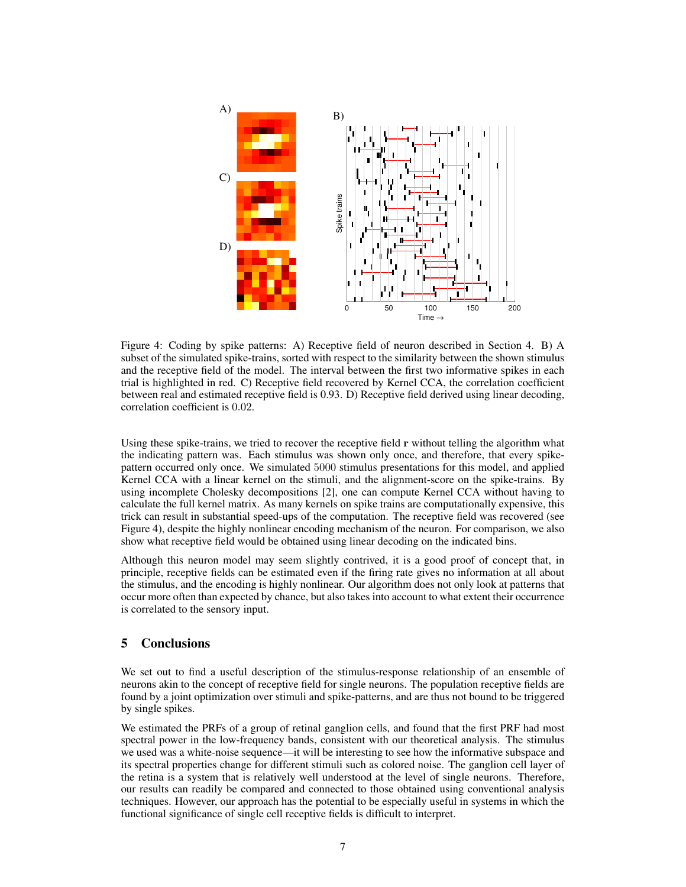

Figure 4: Coding by spike patterns: A) Receptive field of neuron described in Section 4. B) A subset of the simulated spike-trains, sorted with respect to the similarity between the shown stimulus and the receptive field of the model. The interval between the first two informative spikes in each trial is highlighted in red. C) Receptive field recovered by Kernel CCA, the correlation coefficient trial is highlighted in red. C) Receptive field is 0.02.  $\Sigma$  Receptive field derived wine linear characteristics in  $\epsilon$ between real and estimated receptive field is 0. 93 . D) Receptive field derived using linear decoding, correlation coefficient is 0.02.

Using these spike-trains, we tried to recover the receptive field  $\bf{r}$  without telling the algorithm what the indicating pattern was. Each stimulus was shown only once, and therefore, that every spikepattern occurred only once. We simulated 5000 stimulus presentations for this model, and applied Kernel CCA with a linear kernel on the stimuli, and the alignment-score on the spike-trains. By using incomplete Cholesky decompositions [2], one can compute Kernel CCA without having to calculate the full kernel matrix. As many kernels on spike trains are computationally expensive, this trick can result in substantial speed-ups of the computation. The receptive field was recovered (see Figure 4), despite the highly nonlinear encoding mechanism of the neuron. For comparison, we also Figure 4), despite the highly nonlinear encoding mechanism of the neuron. For comparison, we also<br>show what seconting field would be obtained wine linear decoding on the indicated high show what receptive field would be obtained using linear decoding on the indicated bins .

Although this neuron model may seem slightly contrived, it is a good proof of concept that, in principle, receptive fields can be estimated even if the firing rate gives no information at all about the stimulus, and the encoding is highly nonlinear. Our algorithm does not only look at patterns that the stimulus, and the encoding is highly nonlinear. Our algorithm does not only look at patterns that  $\alpha$ occur more often than expected by chance, but also takes into account to what extent their occurrence is correlated to the sensory input.

# 5 Conclusions

We set out to find a useful description of the stimulus-response relationship of an ensemble of neurons akin to the concept of receptive field for single neurons. The population receptive fields are neurons akin to the concept of receptive field for single neurons. The population receptive fields are the position receptive fields and  $\epsilon_{\rm B}$  are the population receptive fields are the population of  $\epsilon_{\rm B}$  and  $\$ found by a joint optimization over stimuli and spike-patterns , and are thus not bound to be triggered by single spikes.

We estimated the PRFs of a group of retinal ganglion cells, and found that the first PRF had most spectral power in the low-frequency bands, consistent with our theoretical analysis. The stimulus we used was a white-noise sequence—it will be interesting to see how the informative subspace and its spectral properties change for different stimuli such as colored noise. The ganglion cell layer of the retina is a system that is relatively well understood at the level of single neurons. Therefore, our results can readily be compared and connected to those obtained using conventional analysis techniques. However, our approach has the potential to be especially useful in systems in which the techniques. However, our approach has the potential to be especially useful in systems in which the functional significance of single cell receptive fields is difficult to interpret.